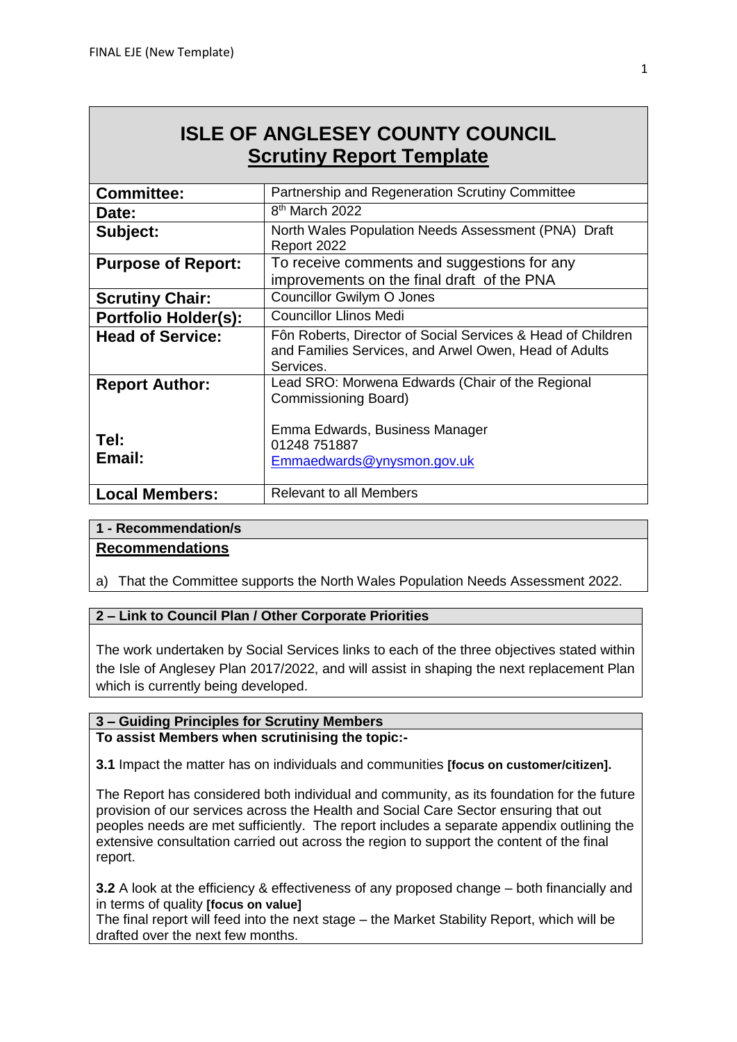# **ISLE OF ANGLESEY COUNTY COUNCIL Scrutiny Report Template**

| <b>Committee:</b>           | Partnership and Regeneration Scrutiny Committee                                                                                   |
|-----------------------------|-----------------------------------------------------------------------------------------------------------------------------------|
| Date:                       | 8 <sup>th</sup> March 2022                                                                                                        |
| Subject:                    | North Wales Population Needs Assessment (PNA) Draft<br>Report 2022                                                                |
| <b>Purpose of Report:</b>   | To receive comments and suggestions for any<br>improvements on the final draft of the PNA                                         |
| <b>Scrutiny Chair:</b>      | Councillor Gwilym O Jones                                                                                                         |
| <b>Portfolio Holder(s):</b> | <b>Councillor Llinos Medi</b>                                                                                                     |
| <b>Head of Service:</b>     | Fôn Roberts, Director of Social Services & Head of Children<br>and Families Services, and Arwel Owen, Head of Adults<br>Services. |
| <b>Report Author:</b>       | Lead SRO: Morwena Edwards (Chair of the Regional<br>Commissioning Board)                                                          |
| Tel:<br>Email:              | Emma Edwards, Business Manager<br>01248 751887<br>Emmaedwards@ynysmon.gov.uk                                                      |
| <b>Local Members:</b>       | Relevant to all Members                                                                                                           |

#### **1 - Recommendation/s**

#### **Recommendations**

a) That the Committee supports the North Wales Population Needs Assessment 2022.

#### **2 – Link to Council Plan / Other Corporate Priorities**

The work undertaken by Social Services links to each of the three objectives stated within the Isle of Anglesey Plan 2017/2022, and will assist in shaping the next replacement Plan which is currently being developed.

### **3 – Guiding Principles for Scrutiny Members**

#### **To assist Members when scrutinising the topic:-**

**3.1** Impact the matter has on individuals and communities **[focus on customer/citizen].** 

The Report has considered both individual and community, as its foundation for the future provision of our services across the Health and Social Care Sector ensuring that out peoples needs are met sufficiently. The report includes a separate appendix outlining the extensive consultation carried out across the region to support the content of the final report.

**3.2** A look at the efficiency & effectiveness of any proposed change – both financially and in terms of quality **[focus on value]**

The final report will feed into the next stage – the Market Stability Report, which will be drafted over the next few months.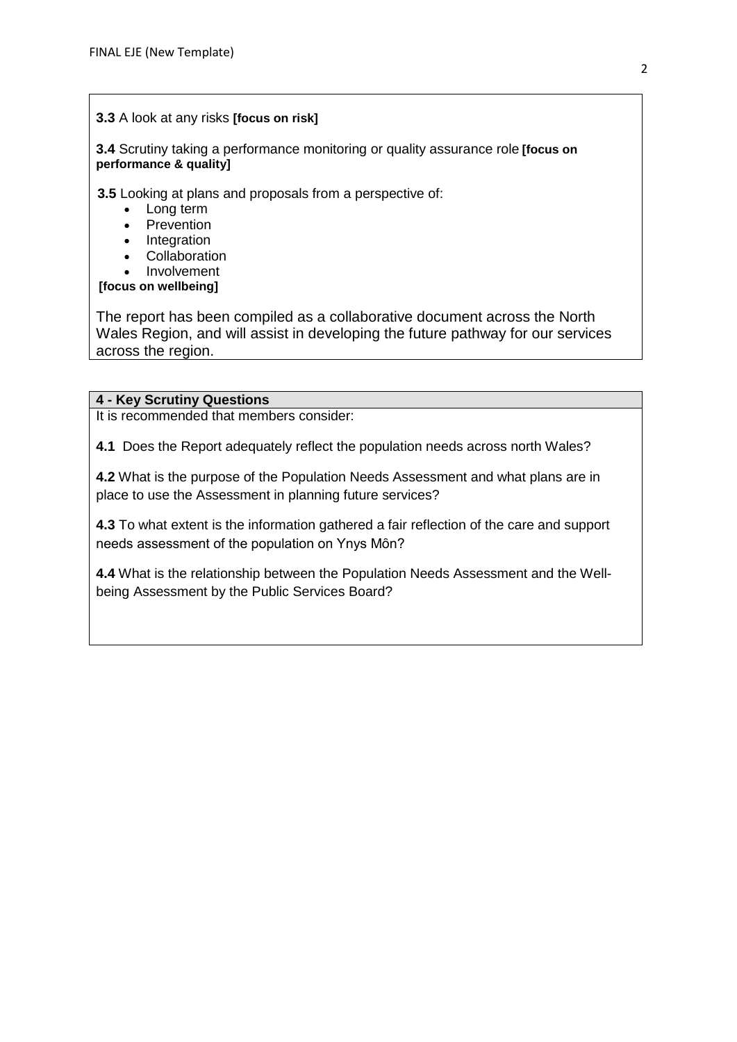#### **3.3** A look at any risks **[focus on risk]**

**3.4** Scrutiny taking a performance monitoring or quality assurance role **[focus on performance & quality]**

**3.5** Looking at plans and proposals from a perspective of:

- Long term
- **Prevention**
- **Integration**
- Collaboration
- Involvement

## **[focus on wellbeing]**

The report has been compiled as a collaborative document across the North Wales Region, and will assist in developing the future pathway for our services across the region.

#### **4 - Key Scrutiny Questions**

It is recommended that members consider:

**4.1** Does the Report adequately reflect the population needs across north Wales?

**4.2** What is the purpose of the Population Needs Assessment and what plans are in place to use the Assessment in planning future services?

**4.3** To what extent is the information gathered a fair reflection of the care and support needs assessment of the population on Ynys Môn?

**4.4** What is the relationship between the Population Needs Assessment and the Wellbeing Assessment by the Public Services Board?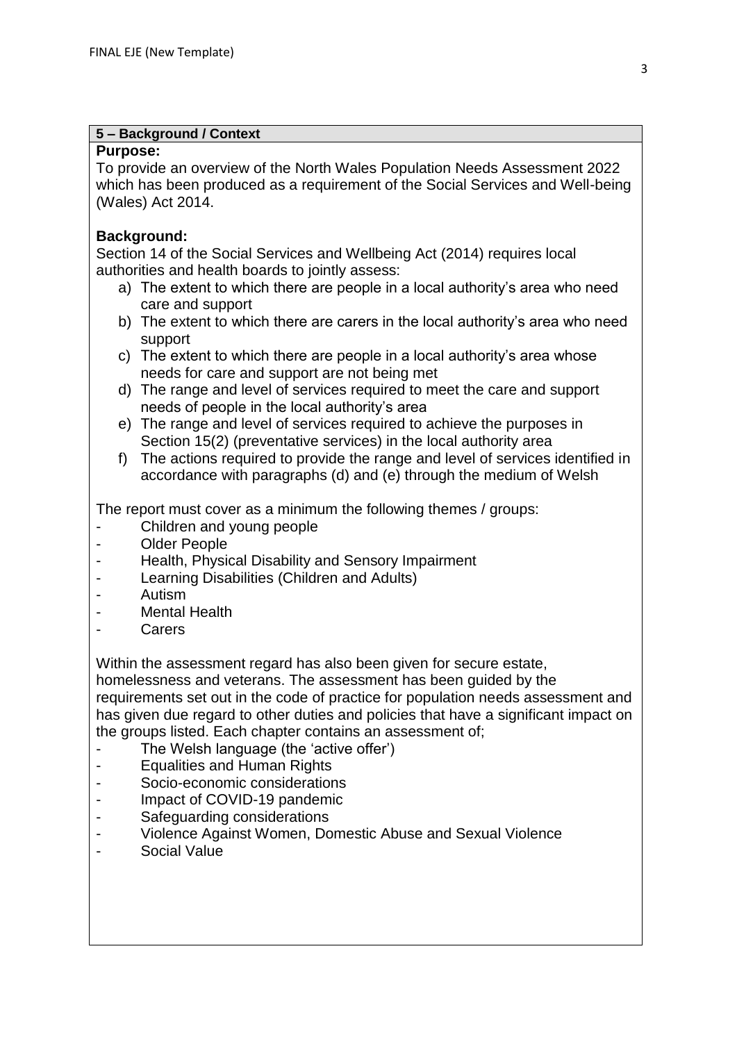#### **5 – Background / Context**

#### **Purpose:**

To provide an overview of the North Wales Population Needs Assessment 2022 which has been produced as a requirement of the Social Services and Well-being (Wales) Act 2014.

## **Background:**

Section 14 of the Social Services and Wellbeing Act (2014) requires local authorities and health boards to jointly assess:

- a) The extent to which there are people in a local authority's area who need care and support
- b) The extent to which there are carers in the local authority's area who need support
- c) The extent to which there are people in a local authority's area whose needs for care and support are not being met
- d) The range and level of services required to meet the care and support needs of people in the local authority's area
- e) The range and level of services required to achieve the purposes in Section 15(2) (preventative services) in the local authority area
- f) The actions required to provide the range and level of services identified in accordance with paragraphs (d) and (e) through the medium of Welsh

The report must cover as a minimum the following themes / groups:

- Children and young people
- Older People
- Health, Physical Disability and Sensory Impairment
- Learning Disabilities (Children and Adults)
- Autism
- Mental Health
- **Carers**

Within the assessment regard has also been given for secure estate,

homelessness and veterans. The assessment has been guided by the requirements set out in the code of practice for population needs assessment and has given due regard to other duties and policies that have a significant impact on the groups listed. Each chapter contains an assessment of;

- The Welsh language (the 'active offer')
- Equalities and Human Rights
- Socio-economic considerations
- Impact of COVID-19 pandemic
- Safeguarding considerations
- Violence Against Women, Domestic Abuse and Sexual Violence
- Social Value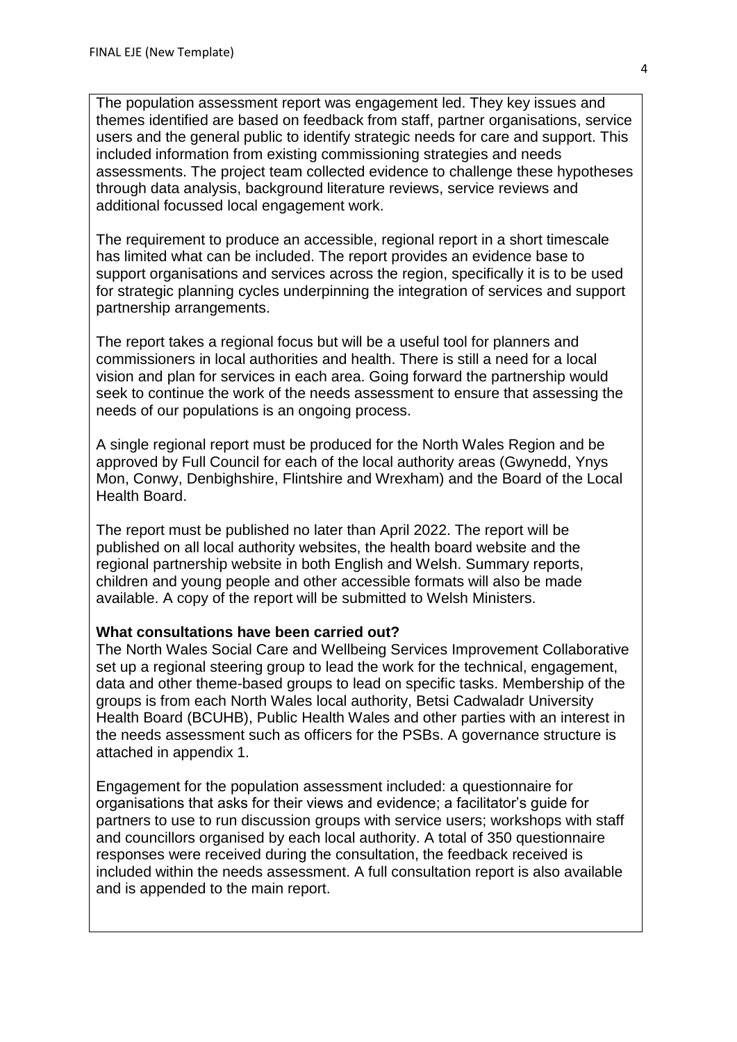The population assessment report was engagement led. They key issues and themes identified are based on feedback from staff, partner organisations, service users and the general public to identify strategic needs for care and support. This included information from existing commissioning strategies and needs assessments. The project team collected evidence to challenge these hypotheses through data analysis, background literature reviews, service reviews and additional focussed local engagement work.

The requirement to produce an accessible, regional report in a short timescale has limited what can be included. The report provides an evidence base to support organisations and services across the region, specifically it is to be used for strategic planning cycles underpinning the integration of services and support partnership arrangements.

The report takes a regional focus but will be a useful tool for planners and commissioners in local authorities and health. There is still a need for a local vision and plan for services in each area. Going forward the partnership would seek to continue the work of the needs assessment to ensure that assessing the needs of our populations is an ongoing process.

A single regional report must be produced for the North Wales Region and be approved by Full Council for each of the local authority areas (Gwynedd, Ynys Mon, Conwy, Denbighshire, Flintshire and Wrexham) and the Board of the Local Health Board.

The report must be published no later than April 2022. The report will be published on all local authority websites, the health board website and the regional partnership website in both English and Welsh. Summary reports, children and young people and other accessible formats will also be made available. A copy of the report will be submitted to Welsh Ministers.

#### **What consultations have been carried out?**

The North Wales Social Care and Wellbeing Services Improvement Collaborative set up a regional steering group to lead the work for the technical, engagement, data and other theme-based groups to lead on specific tasks. Membership of the groups is from each North Wales local authority, Betsi Cadwaladr University Health Board (BCUHB), Public Health Wales and other parties with an interest in the needs assessment such as officers for the PSBs. A governance structure is attached in appendix 1.

Engagement for the population assessment included: a questionnaire for organisations that asks for their views and evidence; a facilitator's guide for partners to use to run discussion groups with service users; workshops with staff and councillors organised by each local authority. A total of 350 questionnaire responses were received during the consultation, the feedback received is included within the needs assessment. A full consultation report is also available and is appended to the main report.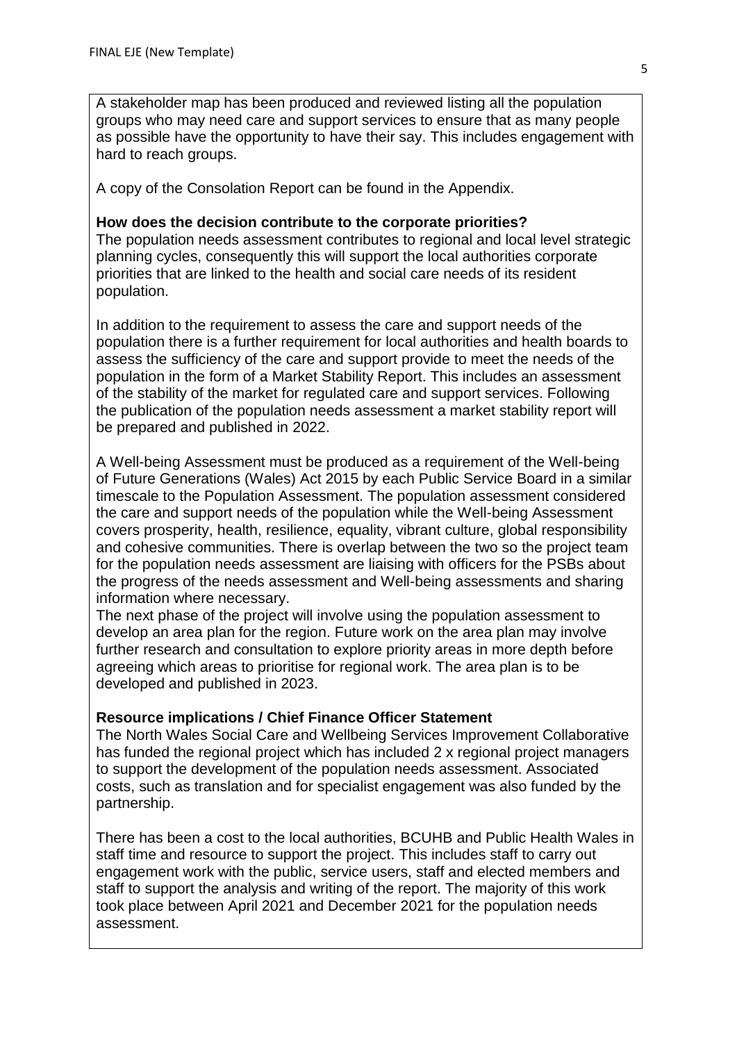A stakeholder map has been produced and reviewed listing all the population groups who may need care and support services to ensure that as many people as possible have the opportunity to have their say. This includes engagement with hard to reach groups.

A copy of the Consolation Report can be found in the Appendix.

## **How does the decision contribute to the corporate priorities?**

The population needs assessment contributes to regional and local level strategic planning cycles, consequently this will support the local authorities corporate priorities that are linked to the health and social care needs of its resident population.

In addition to the requirement to assess the care and support needs of the population there is a further requirement for local authorities and health boards to assess the sufficiency of the care and support provide to meet the needs of the population in the form of a Market Stability Report. This includes an assessment of the stability of the market for regulated care and support services. Following the publication of the population needs assessment a market stability report will be prepared and published in 2022.

A Well-being Assessment must be produced as a requirement of the Well-being of Future Generations (Wales) Act 2015 by each Public Service Board in a similar timescale to the Population Assessment. The population assessment considered the care and support needs of the population while the Well-being Assessment covers prosperity, health, resilience, equality, vibrant culture, global responsibility and cohesive communities. There is overlap between the two so the project team for the population needs assessment are liaising with officers for the PSBs about the progress of the needs assessment and Well-being assessments and sharing information where necessary.

The next phase of the project will involve using the population assessment to develop an area plan for the region. Future work on the area plan may involve further research and consultation to explore priority areas in more depth before agreeing which areas to prioritise for regional work. The area plan is to be developed and published in 2023.

## **Resource implications / Chief Finance Officer Statement**

The North Wales Social Care and Wellbeing Services Improvement Collaborative has funded the regional project which has included 2 x regional project managers to support the development of the population needs assessment. Associated costs, such as translation and for specialist engagement was also funded by the partnership.

There has been a cost to the local authorities, BCUHB and Public Health Wales in staff time and resource to support the project. This includes staff to carry out engagement work with the public, service users, staff and elected members and staff to support the analysis and writing of the report. The majority of this work took place between April 2021 and December 2021 for the population needs assessment.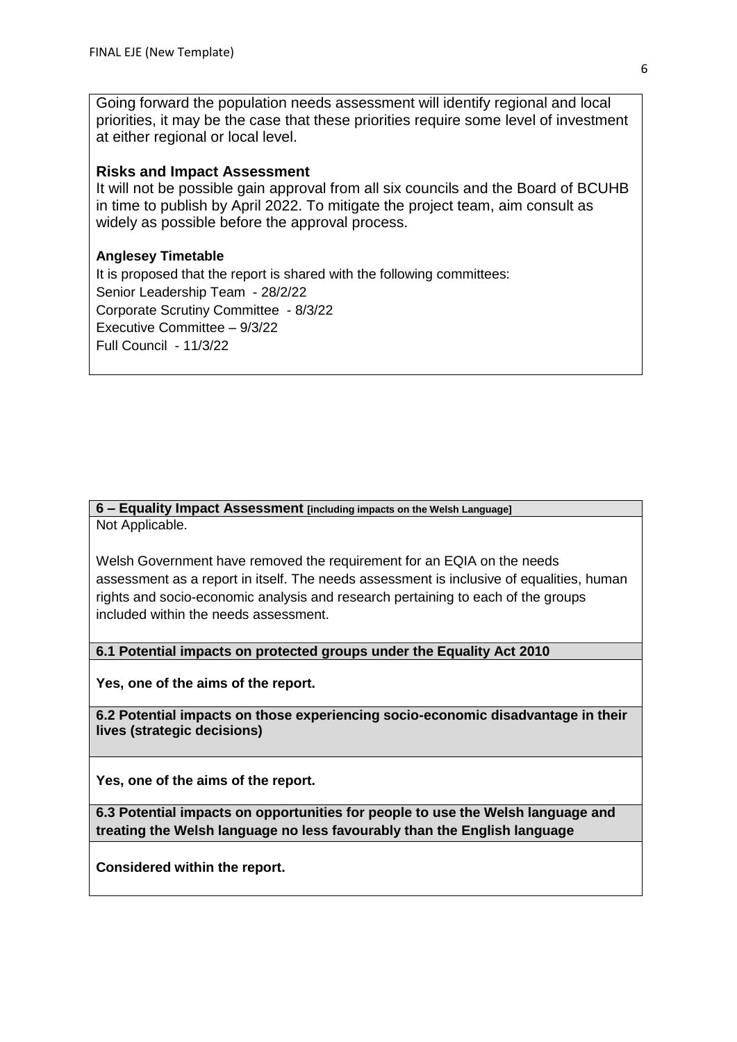Going forward the population needs assessment will identify regional and local priorities, it may be the case that these priorities require some level of investment at either regional or local level.

#### **Risks and Impact Assessment**

It will not be possible gain approval from all six councils and the Board of BCUHB in time to publish by April 2022. To mitigate the project team, aim consult as widely as possible before the approval process.

#### **Anglesey Timetable**

It is proposed that the report is shared with the following committees: Senior Leadership Team - 28/2/22 Corporate Scrutiny Committee - 8/3/22 Executive Committee – 9/3/22 Full Council - 11/3/22

#### **6 – Equality Impact Assessment [including impacts on the Welsh Language]** Not Applicable.

Welsh Government have removed the requirement for an EQIA on the needs assessment as a report in itself. The needs assessment is inclusive of equalities, human rights and socio-economic analysis and research pertaining to each of the groups included within the needs assessment.

**6.1 Potential impacts on protected groups under the Equality Act 2010**

**Yes, one of the aims of the report.**

**6.2 Potential impacts on those experiencing socio-economic disadvantage in their lives (strategic decisions)**

**Yes, one of the aims of the report.**

**6.3 Potential impacts on opportunities for people to use the Welsh language and treating the Welsh language no less favourably than the English language**

**Considered within the report.**